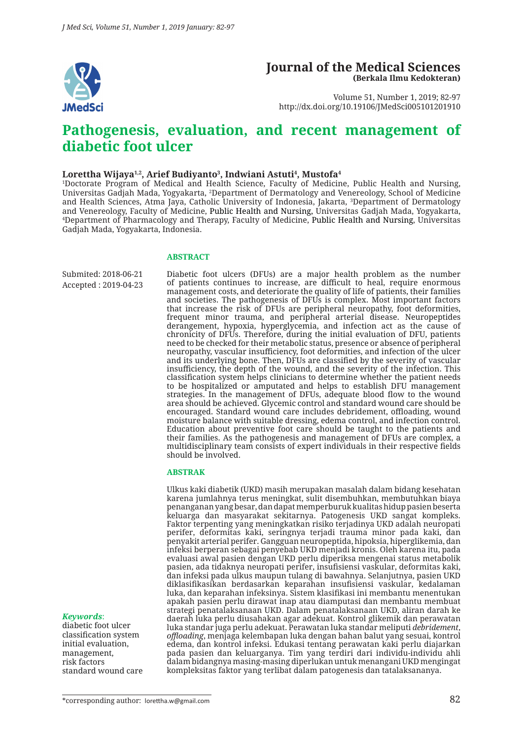

### **Journal of the Medical Sciences (Berkala Ilmu Kedokteran)**

Volume 51, Number 1, 2019; 82-97 http://dx.doi.org/10.19106/JMedSci005101201910

# **Pathogenesis, evaluation, and recent management of diabetic foot ulcer**

#### $\rm{Lorentz}$  Mijaya $^{1,2}$ , Arief Budiyanto $^3$ , Indwiani Astuti $^4$ , Mustofa $^4$

1 Doctorate Program of Medical and Health Science, Faculty of Medicine, Public Health and Nursing, Universitas Gadjah Mada, Yogyakarta, <sup>2</sup>Department of Dermatology and Venereology, School of Medicine and Health Sciences, Atma Jaya, Catholic University of Indonesia, Jakarta, <sup>3</sup> Department of Dermatology and Venereology, Faculty of Medicine, Public Health and Nursing, Universitas Gadjah Mada, Yogyakarta, 4 Department of Pharmacology and Therapy, Faculty of Medicine, Public Health and Nursing, Universitas Gadjah Mada, Yogyakarta, Indonesia.

#### **ABSTRACT**

Submited: 2018-06-21 Accepted : 2019-04-23 Diabetic foot ulcers (DFUs) are a major health problem as the number of patients continues to increase, are difficult to heal, require enormous management costs, and deteriorate the quality of life of patients, their families and societies. The pathogenesis of DFUs is complex. Most important factors that increase the risk of DFUs are peripheral neuropathy, foot deformities, frequent minor trauma, and peripheral arterial disease. Neuropeptides derangement, hypoxia, hyperglycemia, and infection act as the cause of chronicity of DFUs. Therefore, during the initial evaluation of DFU, patients need to be checked for their metabolic status, presence or absence of peripheral neuropathy, vascular insufficiency, foot deformities, and infection of the ulcer and its underlying bone. Then, DFUs are classified by the severity of vascular insufficiency, the depth of the wound, and the severity of the infection. This classification system helps clinicians to determine whether the patient needs to be hospitalized or amputated and helps to establish DFU management strategies. In the management of DFUs, adequate blood flow to the wound area should be achieved. Glycemic control and standard wound care should be encouraged. Standard wound care includes debridement, offloading, wound moisture balance with suitable dressing, edema control, and infection control. Education about preventive foot care should be taught to the patients and their families. As the pathogenesis and management of DFUs are complex, a multidisciplinary team consists of expert individuals in their respective fields should be involved.

#### **ABSTRAK**

Ulkus kaki diabetik (UKD) masih merupakan masalah dalam bidang kesehatan karena jumlahnya terus meningkat, sulit disembuhkan, membutuhkan biaya penanganan yang besar, dan dapat memperburuk kualitas hidup pasien beserta keluarga dan masyarakat sekitarnya. Patogenesis UKD sangat kompleks. Faktor terpenting yang meningkatkan risiko terjadinya UKD adalah neuropati perifer, deformitas kaki, seringnya terjadi trauma minor pada kaki, dan penyakit arterial perifer. Gangguan neuropeptida, hipoksia, hiperglikemia, dan infeksi berperan sebagai penyebab UKD menjadi kronis. Oleh karena itu, pada evaluasi awal pasien dengan UKD perlu diperiksa mengenai status metabolik pasien, ada tidaknya neuropati perifer, insufisiensi vaskular, deformitas kaki, dan infeksi pada ulkus maupun tulang di bawahnya. Selanjutnya, pasien UKD diklasifikasikan berdasarkan keparahan insufisiensi vaskular, kedalaman luka, dan keparahan infeksinya. Sistem klasifikasi ini membantu menentukan apakah pasien perlu dirawat inap atau diamputasi dan membantu membuat strategi penatalaksanaan UKD. Dalam penatalaksanaan UKD, aliran darah ke daerah luka perlu diusahakan agar adekuat. Kontrol glikemik dan perawatan luka standar juga perlu adekuat. Perawatan luka standar meliputi *debridement*, *offloading*, menjaga kelembapan luka dengan bahan balut yang sesuai, kontrol edema, dan kontrol infeksi. Edukasi tentang perawatan kaki perlu diajarkan pada pasien dan keluarganya. Tim yang terdiri dari individu-individu ahli dalam bidangnya masing-masing diperlukan untuk menangani UKD mengingat kompleksitas faktor yang terlibat dalam patogenesis dan tatalaksananya.

#### *Keywords*:

diabetic foot ulcer classification system initial evaluation, management, risk factors standard wound care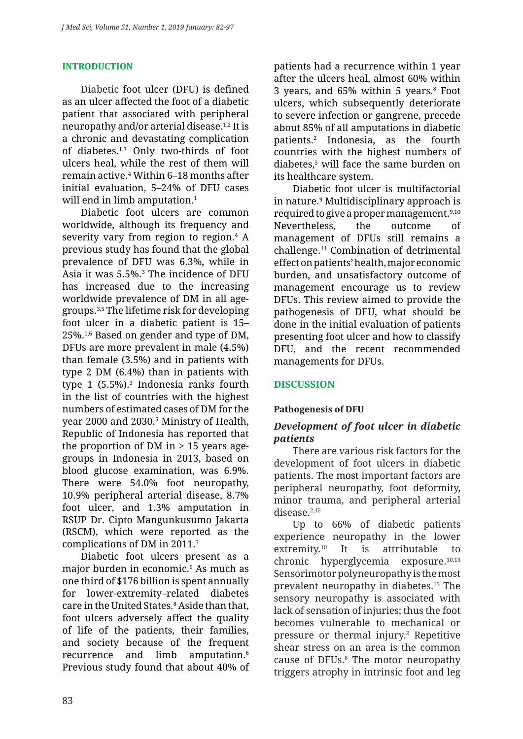#### **INTRODUCTION**

Diabetic foot ulcer (DFU) is defined as an ulcer affected the foot of a diabetic patient that associated with peripheral neuropathy and/or arterial disease.1,2 It is a chronic and devastating complication of diabetes.1,3 Only two-thirds of foot ulcers heal, while the rest of them will remain active.4 Within 6–18 months after initial evaluation, 5–24% of DFU cases will end in limb amputation.<sup>1</sup>

Diabetic foot ulcers are common worldwide, although its frequency and severity vary from region to region.<sup>4</sup> A previous study has found that the global prevalence of DFU was 6.3%, while in Asia it was 5.5%.3 The incidence of DFU has increased due to the increasing worldwide prevalence of DM in all agegroups.3,5 The lifetime risk for developing foot ulcer in a diabetic patient is 15– 25%.1,6 Based on gender and type of DM, DFUs are more prevalent in male (4.5%) than female (3.5%) and in patients with type 2 DM (6.4%) than in patients with type 1 (5.5%).<sup>3</sup> Indonesia ranks fourth in the list of countries with the highest numbers of estimated cases of DM for the year 2000 and 2030.<sup>5</sup> Ministry of Health, Republic of Indonesia has reported that the proportion of DM in  $\geq$  15 years agegroups in Indonesia in 2013, based on blood glucose examination, was 6.9%. There were 54.0% foot neuropathy, 10.9% peripheral arterial disease, 8.7% foot ulcer, and 1.3% amputation in RSUP Dr. Cipto Mangunkusumo Jakarta (RSCM), which were reported as the complications of DM in 2011.7

Diabetic foot ulcers present as a major burden in economic.6 As much as one third of \$176 billion is spent annually for lower-extremity–related diabetes care in the United States.8 Aside than that, foot ulcers adversely affect the quality of life of the patients, their families, and society because of the frequent recurrence and limb amputation.<sup>6</sup> Previous study found that about 40% of patients had a recurrence within 1 year after the ulcers heal, almost 60% within 3 years, and 65% within 5 years.<sup>8</sup> Foot ulcers, which subsequently deteriorate to severe infection or gangrene, precede about 85% of all amputations in diabetic patients.2 Indonesia, as the fourth countries with the highest numbers of diabetes,5 will face the same burden on its healthcare system.

Diabetic foot ulcer is multifactorial in nature.9 Multidisciplinary approach is required to give a proper management.9,10 Nevertheless, the outcome of management of DFUs still remains a challenge.11 Combination of detrimental effect on patients' health, major economic burden, and unsatisfactory outcome of management encourage us to review DFUs. This review aimed to provide the pathogenesis of DFU, what should be done in the initial evaluation of patients presenting foot ulcer and how to classify DFU, and the recent recommended managements for DFUs.

### **DISCUSSION**

### **Pathogenesis of DFU**

### *Development of foot ulcer in diabetic patients*

There are various risk factors for the development of foot ulcers in diabetic patients. The most important factors are peripheral neuropathy, foot deformity, minor trauma, and peripheral arterial disease.<sup>2,12</sup>

Up to 66% of diabetic patients experience neuropathy in the lower extremity.<sup>10</sup> It is attributable to chronic hyperglycemia exposure.<sup>10,13</sup> Sensorimotor polyneuropathy is the most prevalent neuropathy in diabetes.<sup>13</sup> The sensory neuropathy is associated with lack of sensation of injuries; thus the foot becomes vulnerable to mechanical or pressure or thermal injury.<sup>2</sup> Repetitive shear stress on an area is the common cause of DFUs.<sup>8</sup> The motor neuropathy triggers atrophy in intrinsic foot and leg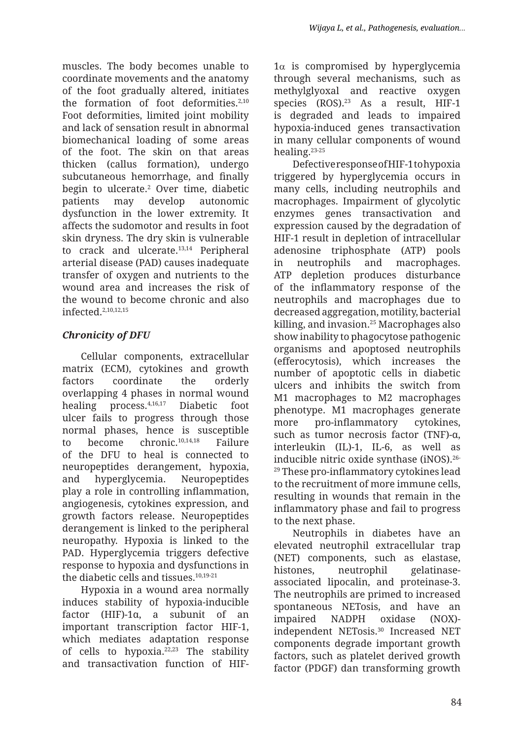muscles. The body becomes unable to coordinate movements and the anatomy of the foot gradually altered, initiates the formation of foot deformities. $2,10$ Foot deformities, limited joint mobility and lack of sensation result in abnormal biomechanical loading of some areas of the foot. The skin on that areas thicken (callus formation), undergo subcutaneous hemorrhage, and finally begin to ulcerate.2 Over time, diabetic patients may develop autonomic dysfunction in the lower extremity. It affects the sudomotor and results in foot skin dryness. The dry skin is vulnerable to crack and ulcerate.<sup>13,14</sup> Peripheral arterial disease (PAD) causes inadequate transfer of oxygen and nutrients to the wound area and increases the risk of the wound to become chronic and also infected.2,10,12,15

# *Chronicity of DFU*

Cellular components, extracellular matrix (ECM), cytokines and growth factors coordinate the orderly overlapping 4 phases in normal wound healing process.4,16,17 Diabetic foot ulcer fails to progress through those normal phases, hence is susceptible to become chronic.10,14,18 Failure of the DFU to heal is connected to neuropeptides derangement, hypoxia, and hyperglycemia. Neuropeptides play a role in controlling inflammation, angiogenesis, cytokines expression, and growth factors release. Neuropeptides derangement is linked to the peripheral neuropathy. Hypoxia is linked to the PAD. Hyperglycemia triggers defective response to hypoxia and dysfunctions in the diabetic cells and tissues.10,19-21

Hypoxia in a wound area normally induces stability of hypoxia-inducible factor (HIF)-1α, a subunit of an important transcription factor HIF-1, which mediates adaptation response of cells to hypoxia. $22,23$  The stability and transactivation function of HIF-  $1\alpha$  is compromised by hyperglycemia through several mechanisms, such as methylglyoxal and reactive oxygen species (ROS).<sup>23</sup> As a result, HIF-1 is degraded and leads to impaired hypoxia-induced genes transactivation in many cellular components of wound healing.23-25

Defective response of HIF-1 to hypoxia triggered by hyperglycemia occurs in many cells, including neutrophils and macrophages. Impairment of glycolytic enzymes genes transactivation and expression caused by the degradation of HIF-1 result in depletion of intracellular adenosine triphosphate (ATP) pools in neutrophils and macrophages. ATP depletion produces disturbance of the inflammatory response of the neutrophils and macrophages due to decreased aggregation, motility, bacterial killing, and invasion.25 Macrophages also show inability to phagocytose pathogenic organisms and apoptosed neutrophils (efferocytosis), which increases the number of apoptotic cells in diabetic ulcers and inhibits the switch from M1 macrophages to M2 macrophages phenotype. M1 macrophages generate more pro-inflammatory cytokines, such as tumor necrosis factor (TNF)-α, interleukin (IL)-1, IL-6, as well as inducible nitric oxide synthase (iNOS).26- <sup>29</sup> These pro-inflammatory cytokines lead to the recruitment of more immune cells, resulting in wounds that remain in the inflammatory phase and fail to progress to the next phase.

Neutrophils in diabetes have an elevated neutrophil extracellular trap (NET) components, such as elastase, histones, neutrophil gelatinaseassociated lipocalin, and proteinase-3. The neutrophils are primed to increased spontaneous NETosis, and have an impaired NADPH oxidase (NOX) independent NETosis.<sup>30</sup> Increased NET components degrade important growth factors, such as platelet derived growth factor (PDGF) dan transforming growth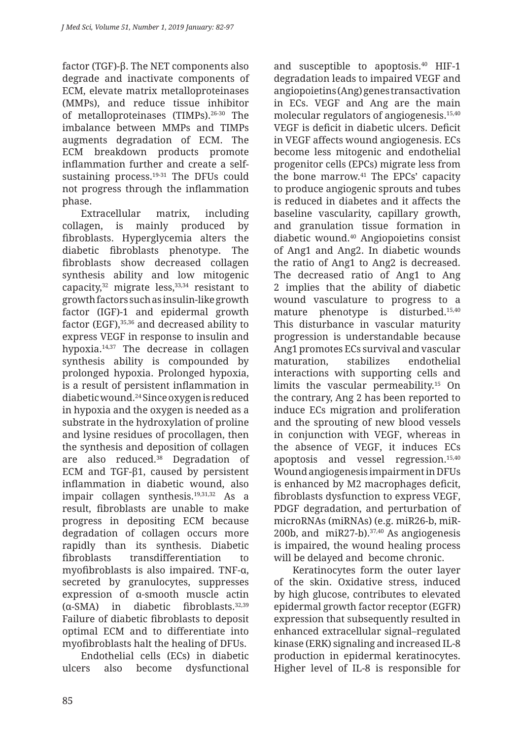factor (TGF)-β. The NET components also degrade and inactivate components of ECM, elevate matrix metalloproteinases (MMPs), and reduce tissue inhibitor of metalloproteinases (TIMPs).26-30 The imbalance between MMPs and TIMPs augments degradation of ECM. The ECM breakdown products promote inflammation further and create a selfsustaining process.<sup>19-31</sup> The DFUs could not progress through the inflammation phase.

Extracellular matrix, including collagen, is mainly produced by fibroblasts. Hyperglycemia alters the diabetic fibroblasts phenotype. The fibroblasts show decreased collagen synthesis ability and low mitogenic capacity, $32$  migrate less, $33,34$  resistant to growth factors such as insulin-like growth factor (IGF)-1 and epidermal growth factor (EGF),<sup>35,36</sup> and decreased ability to express VEGF in response to insulin and hypoxia.14,37 The decrease in collagen synthesis ability is compounded by prolonged hypoxia. Prolonged hypoxia, is a result of persistent inflammation in diabetic wound.24 Since oxygen is reduced in hypoxia and the oxygen is needed as a substrate in the hydroxylation of proline and lysine residues of procollagen, then the synthesis and deposition of collagen are also reduced.38 Degradation of ECM and TGF-β1, caused by persistent inflammation in diabetic wound, also impair collagen synthesis.<sup>19,31,32</sup> As a result, fibroblasts are unable to make progress in depositing ECM because degradation of collagen occurs more rapidly than its synthesis. Diabetic fibroblasts transdifferentiation to myofibroblasts is also impaired. TNF-α, secreted by granulocytes, suppresses expression of α-smooth muscle actin (α-SMA) in diabetic fibroblasts.32,39 Failure of diabetic fibroblasts to deposit optimal ECM and to differentiate into myofibroblasts halt the healing of DFUs.

Endothelial cells (ECs) in diabetic ulcers also become dysfunctional and susceptible to apoptosis. $40$  HIF-1 degradation leads to impaired VEGF and angiopoietins (Ang) genes transactivation in ECs. VEGF and Ang are the main molecular regulators of angiogenesis.15,40 VEGF is deficit in diabetic ulcers. Deficit in VEGF affects wound angiogenesis. ECs become less mitogenic and endothelial progenitor cells (EPCs) migrate less from the bone marrow.41 The EPCs' capacity to produce angiogenic sprouts and tubes is reduced in diabetes and it affects the baseline vascularity, capillary growth, and granulation tissue formation in diabetic wound.40 Angiopoietins consist of Ang1 and Ang2. In diabetic wounds the ratio of Ang1 to Ang2 is decreased. The decreased ratio of Ang1 to Ang 2 implies that the ability of diabetic wound vasculature to progress to a mature phenotype is disturbed.15,40 This disturbance in vascular maturity progression is understandable because Ang1 promotes ECs survival and vascular maturation, stabilizes endothelial interactions with supporting cells and limits the vascular permeability.<sup>15</sup> On the contrary, Ang 2 has been reported to induce ECs migration and proliferation and the sprouting of new blood vessels in conjunction with VEGF, whereas in the absence of VEGF, it induces ECs apoptosis and vessel regression.15,40 Wound angiogenesis impairment in DFUs is enhanced by M2 macrophages deficit, fibroblasts dysfunction to express VEGF, PDGF degradation, and perturbation of microRNAs (miRNAs) (e.g. miR26-b, miR-200b, and miR27-b). $37,40$  As angiogenesis is impaired, the wound healing process will be delayed and become chronic.

Keratinocytes form the outer layer of the skin. Oxidative stress, induced by high glucose, contributes to elevated epidermal growth factor receptor (EGFR) expression that subsequently resulted in enhanced extracellular signal–regulated kinase (ERK) signaling and increased IL-8 production in epidermal keratinocytes. Higher level of IL-8 is responsible for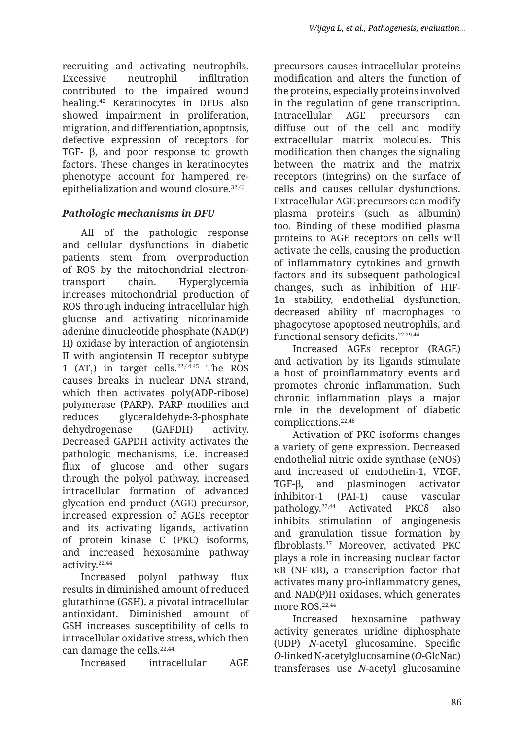recruiting and activating neutrophils. Excessive neutrophil infiltration contributed to the impaired wound healing.42 Keratinocytes in DFUs also showed impairment in proliferation, migration, and differentiation, apoptosis, defective expression of receptors for TGF- β, and poor response to growth factors. These changes in keratinocytes phenotype account for hampered reepithelialization and wound closure.32,43

# *Pathologic mechanisms in DFU*

All of the pathologic response and cellular dysfunctions in diabetic patients stem from overproduction of ROS by the mitochondrial electrontransport chain. Hyperglycemia increases mitochondrial production of ROS through inducing intracellular high glucose and activating nicotinamide adenine dinucleotide phosphate (NAD(P) H) oxidase by interaction of angiotensin II with angiotensin II receptor subtype 1 ( $AT_1$ ) in target cells.<sup>22,44,45</sup> The ROS causes breaks in nuclear DNA strand, which then activates poly(ADP-ribose) polymerase (PARP). PARP modifies and reduces glyceraldehyde-3-phosphate dehydrogenase (GAPDH) activity. Decreased GAPDH activity activates the pathologic mechanisms, i.e. increased flux of glucose and other sugars through the polyol pathway, increased intracellular formation of advanced glycation end product (AGE) precursor, increased expression of AGEs receptor and its activating ligands, activation of protein kinase C (PKC) isoforms, and increased hexosamine pathway activity.22,44

Increased polyol pathway flux results in diminished amount of reduced glutathione (GSH), a pivotal intracellular antioxidant. Diminished amount of GSH increases susceptibility of cells to intracellular oxidative stress, which then can damage the cells.<sup>22,44</sup>

Increased intracellular AGE

precursors causes intracellular proteins modification and alters the function of the proteins, especially proteins involved in the regulation of gene transcription. Intracellular AGE precursors can diffuse out of the cell and modify extracellular matrix molecules. This modification then changes the signaling between the matrix and the matrix receptors (integrins) on the surface of cells and causes cellular dysfunctions. Extracellular AGE precursors can modify plasma proteins (such as albumin) too. Binding of these modified plasma proteins to AGE receptors on cells will activate the cells, causing the production of inflammatory cytokines and growth factors and its subsequent pathological changes, such as inhibition of HIF-1α stability, endothelial dysfunction, decreased ability of macrophages to phagocytose apoptosed neutrophils, and functional sensory deficits.<sup>22,29,44</sup>

Increased AGEs receptor (RAGE) and activation by its ligands stimulate a host of proinflammatory events and promotes chronic inflammation. Such chronic inflammation plays a major role in the development of diabetic complications.22,46

Activation of PKC isoforms changes a variety of gene expression. Decreased endothelial nitric oxide synthase (eNOS) and increased of endothelin-1, VEGF, TGF-β, and plasminogen activator inhibitor-1 (PAI-1) cause vascular pathology.<sup>22,44</sup> Activated PKC<sub>δ</sub> also inhibits stimulation of angiogenesis and granulation tissue formation by fibroblasts.<sup>37</sup> Moreover, activated PKC plays a role in increasing nuclear factor κB (NF-κB), a transcription factor that activates many pro-inflammatory genes, and NAD(P)H oxidases, which generates more ROS.<sup>22,44</sup>

Increased hexosamine pathway activity generates uridine diphosphate (UDP) *N*-acetyl glucosamine. Specific *O*-linked N-acetylglucosamine (*O*-GlcNac) transferases use *N*-acetyl glucosamine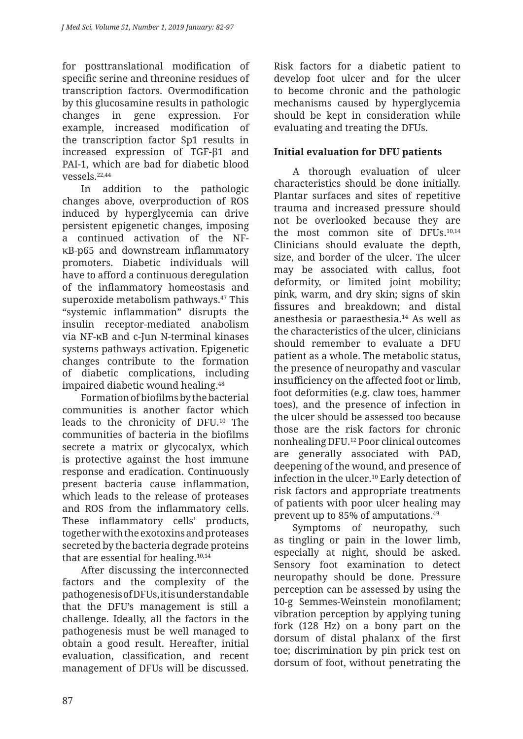for posttranslational modification of specific serine and threonine residues of transcription factors. Overmodification by this glucosamine results in pathologic changes in gene expression. For example, increased modification of the transcription factor Sp1 results in increased expression of TGF-β1 and PAI-1, which are bad for diabetic blood vessels.22,44

In addition to the pathologic changes above, overproduction of ROS induced by hyperglycemia can drive persistent epigenetic changes, imposing a continued activation of the NFκB-p65 and downstream inflammatory promoters. Diabetic individuals will have to afford a continuous deregulation of the inflammatory homeostasis and superoxide metabolism pathways.<sup>47</sup> This "systemic inflammation" disrupts the insulin receptor-mediated anabolism via NF-κB and c-Jun N-terminal kinases systems pathways activation. Epigenetic changes contribute to the formation of diabetic complications, including impaired diabetic wound healing.<sup>48</sup>

Formation of biofilms by the bacterial communities is another factor which leads to the chronicity of DFU.<sup>10</sup> The communities of bacteria in the biofilms secrete a matrix or glycocalyx, which is protective against the host immune response and eradication. Continuously present bacteria cause inflammation, which leads to the release of proteases and ROS from the inflammatory cells. These inflammatory cells' products, together with the exotoxins and proteases secreted by the bacteria degrade proteins that are essential for healing.10,14

After discussing the interconnected factors and the complexity of the pathogenesis of DFUs, it is understandable that the DFU's management is still a challenge. Ideally, all the factors in the pathogenesis must be well managed to obtain a good result. Hereafter, initial evaluation, classification, and recent management of DFUs will be discussed. Risk factors for a diabetic patient to develop foot ulcer and for the ulcer to become chronic and the pathologic mechanisms caused by hyperglycemia should be kept in consideration while evaluating and treating the DFUs.

# **Initial evaluation for DFU patients**

A thorough evaluation of ulcer characteristics should be done initially. Plantar surfaces and sites of repetitive trauma and increased pressure should not be overlooked because they are the most common site of DFUs.10,14 Clinicians should evaluate the depth, size, and border of the ulcer. The ulcer may be associated with callus, foot deformity, or limited joint mobility; pink, warm, and dry skin; signs of skin fissures and breakdown; and distal anesthesia or paraesthesia.14 As well as the characteristics of the ulcer, clinicians should remember to evaluate a DFU patient as a whole. The metabolic status, the presence of neuropathy and vascular insufficiency on the affected foot or limb, foot deformities (e.g. claw toes, hammer toes), and the presence of infection in the ulcer should be assessed too because those are the risk factors for chronic nonhealing DFU.12 Poor clinical outcomes are generally associated with PAD, deepening of the wound, and presence of infection in the ulcer.10 Early detection of risk factors and appropriate treatments of patients with poor ulcer healing may prevent up to 85% of amputations.49

Symptoms of neuropathy, such as tingling or pain in the lower limb, especially at night, should be asked. Sensory foot examination to detect neuropathy should be done. Pressure perception can be assessed by using the 10-g Semmes-Weinstein monofilament; vibration perception by applying tuning fork (128 Hz) on a bony part on the dorsum of distal phalanx of the first toe; discrimination by pin prick test on dorsum of foot, without penetrating the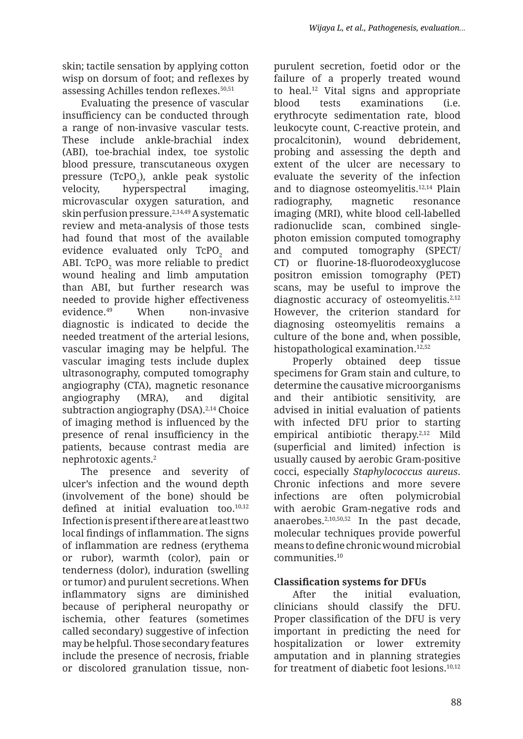skin; tactile sensation by applying cotton wisp on dorsum of foot; and reflexes by assessing Achilles tendon reflexes.50,51

Evaluating the presence of vascular insufficiency can be conducted through a range of non-invasive vascular tests. These include ankle-brachial index (ABI), toe-brachial index, toe systolic blood pressure, transcutaneous oxygen pressure (TcPO $_2$ ), ankle peak systolic velocity, hyperspectral imaging, microvascular oxygen saturation, and skin perfusion pressure.2,14,49 A systematic review and meta-analysis of those tests had found that most of the available evidence evaluated only  $\mathsf{TCPO}_2$  and ABI. TcPO $_{\textrm{\tiny{2}}}$  was more reliable to predict wound healing and limb amputation than ABI, but further research was needed to provide higher effectiveness evidence.49 When non-invasive diagnostic is indicated to decide the needed treatment of the arterial lesions, vascular imaging may be helpful. The vascular imaging tests include duplex ultrasonography, computed tomography angiography (CTA), magnetic resonance angiography (MRA), and digital subtraction angiography (DSA).<sup>2,14</sup> Choice of imaging method is influenced by the presence of renal insufficiency in the patients, because contrast media are nephrotoxic agents.2

The presence and severity of ulcer's infection and the wound depth (involvement of the bone) should be defined at initial evaluation too.<sup>10,12</sup> Infection is present if there are at least two local findings of inflammation. The signs of inflammation are redness (erythema or rubor), warmth (color), pain or tenderness (dolor), induration (swelling or tumor) and purulent secretions. When inflammatory signs are diminished because of peripheral neuropathy or ischemia, other features (sometimes called secondary) suggestive of infection may be helpful. Those secondary features include the presence of necrosis, friable or discolored granulation tissue, nonpurulent secretion, foetid odor or the failure of a properly treated wound to heal.12 Vital signs and appropriate blood tests examinations (i.e. erythrocyte sedimentation rate, blood leukocyte count, C-reactive protein, and procalcitonin), wound debridement, probing and assessing the depth and extent of the ulcer are necessary to evaluate the severity of the infection and to diagnose osteomyelitis.12,14 Plain radiography, magnetic resonance imaging (MRI), white blood cell-labelled radionuclide scan, combined singlephoton emission computed tomography and computed tomography (SPECT/ CT) or fluorine-18-fluorodeoxyglucose positron emission tomography (PET) scans, may be useful to improve the diagnostic accuracy of osteomyelitis.<sup>2,12</sup> However, the criterion standard for diagnosing osteomyelitis remains a culture of the bone and, when possible, histopathological examination.<sup>12,52</sup>

Properly obtained deep tissue specimens for Gram stain and culture, to determine the causative microorganisms and their antibiotic sensitivity, are advised in initial evaluation of patients with infected DFU prior to starting empirical antibiotic therapy.2,12 Mild (superficial and limited) infection is usually caused by aerobic Gram-positive cocci, especially *Staphylococcus aureus*. Chronic infections and more severe infections are often polymicrobial with aerobic Gram-negative rods and anaerobes.2,10,50,52 In the past decade, molecular techniques provide powerful means to define chronic wound microbial communities.10

# **Classification systems for DFUs**

After the initial evaluation, clinicians should classify the DFU. Proper classification of the DFU is very important in predicting the need for hospitalization or lower extremity amputation and in planning strategies for treatment of diabetic foot lesions.10,12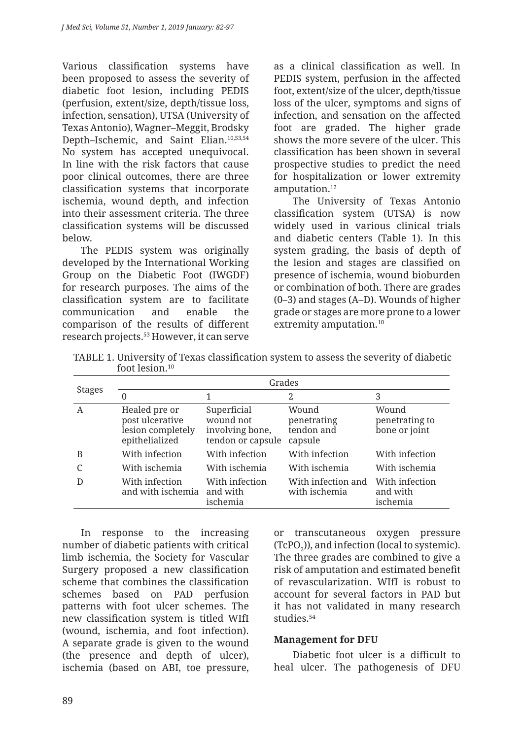Various classification systems have been proposed to assess the severity of diabetic foot lesion, including PEDIS (perfusion, extent/size, depth/tissue loss, infection, sensation), UTSA (University of Texas Antonio), Wagner–Meggit, Brodsky Depth–Ischemic, and Saint Elian.10,53,54 No system has accepted unequivocal. In line with the risk factors that cause poor clinical outcomes, there are three classification systems that incorporate ischemia, wound depth, and infection into their assessment criteria. The three classification systems will be discussed below.

The PEDIS system was originally developed by the International Working Group on the Diabetic Foot (IWGDF) for research purposes. The aims of the classification system are to facilitate communication and enable the comparison of the results of different research projects.53 However, it can serve as a clinical classification as well. In PEDIS system, perfusion in the affected foot, extent/size of the ulcer, depth/tissue loss of the ulcer, symptoms and signs of infection, and sensation on the affected foot are graded. The higher grade shows the more severe of the ulcer. This classification has been shown in several prospective studies to predict the need for hospitalization or lower extremity amputation.12

The University of Texas Antonio classification system (UTSA) is now widely used in various clinical trials and diabetic centers (Table 1). In this system grading, the basis of depth of the lesion and stages are classified on presence of ischemia, wound bioburden or combination of both. There are grades (0–3) and stages (A–D). Wounds of higher grade or stages are more prone to a lower extremity amputation.<sup>10</sup>

TABLE 1. University of Texas classification system to assess the severity of diabetic foot lesion.10

| <b>Stages</b> | Grades                                                                  |                                                                  |                                               |                                          |
|---------------|-------------------------------------------------------------------------|------------------------------------------------------------------|-----------------------------------------------|------------------------------------------|
|               | 0                                                                       |                                                                  | 2                                             | 3                                        |
| A             | Healed pre or<br>post ulcerative<br>lesion completely<br>epithelialized | Superficial<br>wound not<br>involving bone,<br>tendon or capsule | Wound<br>penetrating<br>tendon and<br>capsule | Wound<br>penetrating to<br>bone or joint |
| B             | With infection                                                          | With infection                                                   | With infection                                | With infection                           |
|               | With ischemia                                                           | With ischemia                                                    | With ischemia                                 | With ischemia                            |
| D             | With infection<br>and with ischemia                                     | With infection<br>and with<br>ischemia                           | With infection and<br>with ischemia           | With infection<br>and with<br>ischemia   |

In response to the increasing number of diabetic patients with critical limb ischemia, the Society for Vascular Surgery proposed a new classification scheme that combines the classification schemes based on PAD perfusion patterns with foot ulcer schemes. The new classification system is titled WIfI (wound, ischemia, and foot infection). A separate grade is given to the wound (the presence and depth of ulcer), ischemia (based on ABI, toe pressure, or transcutaneous oxygen pressure  $(TcPO<sub>2</sub>)$ ), and infection (local to systemic). The three grades are combined to give a risk of amputation and estimated benefit of revascularization. WIfI is robust to account for several factors in PAD but it has not validated in many research studies.<sup>54</sup>

### **Management for DFU**

Diabetic foot ulcer is a difficult to heal ulcer. The pathogenesis of DFU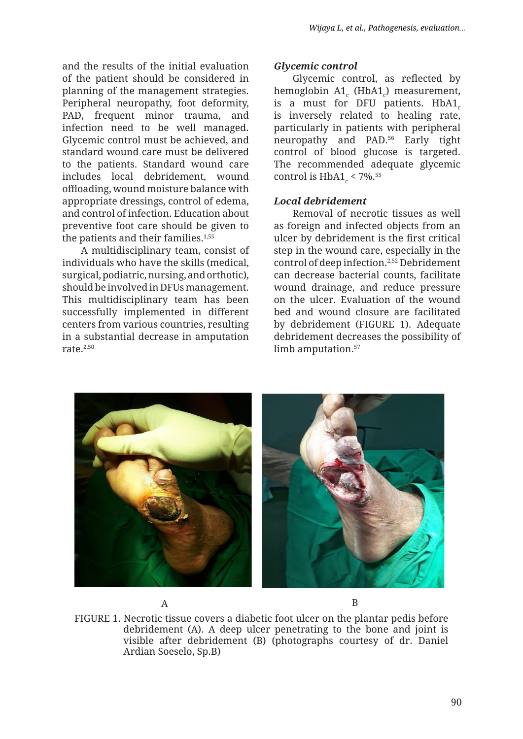and the results of the initial evaluation of the patient should be considered in planning of the management strategies. Peripheral neuropathy, foot deformity, PAD, frequent minor trauma, and infection need to be well managed. Glycemic control must be achieved, and standard wound care must be delivered to the patients. Standard wound care includes local debridement, wound offloading, wound moisture balance with appropriate dressings, control of edema, and control of infection. Education about preventive foot care should be given to the patients and their families.<sup>1,55</sup>

A multidisciplinary team, consist of individuals who have the skills (medical, surgical, podiatric, nursing, and orthotic), should be involved in DFUs management. This multidisciplinary team has been successfully implemented in different centers from various countries, resulting in a substantial decrease in amputation rate. $2,50$ 

### *Glycemic control*

Glycemic control, as reflected by hemoglobin A1<sub>c</sub> (HbA1<sub>c</sub>) measurement, is a must for DFU patients.  $HbA1_c$ is inversely related to healing rate, particularly in patients with peripheral neuropathy and PAD.<sup>56</sup> Early tight control of blood glucose is targeted. The recommended adequate glycemic control is  $HbA1_c < 7\%$ .<sup>55</sup>

### *Local debridement*

Removal of necrotic tissues as well as foreign and infected objects from an ulcer by debridement is the first critical step in the wound care, especially in the control of deep infection.2,52 Debridement can decrease bacterial counts, facilitate wound drainage, and reduce pressure on the ulcer. Evaluation of the wound bed and wound closure are facilitated by debridement (FIGURE 1). Adequate debridement decreases the possibility of limb amputation.<sup>57</sup>





FIGURE 1. Necrotic tissue covers a diabetic foot ulcer on the plantar pedis before debridement (A). A deep ulcer penetrating to the bone and joint is visible after debridement (B) (photographs courtesy of dr. Daniel Ardian Soeselo, Sp.B)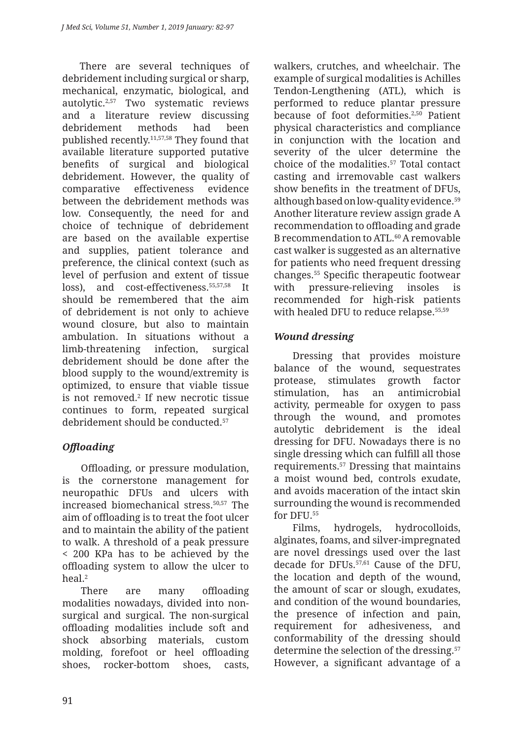There are several techniques of debridement including surgical or sharp, mechanical, enzymatic, biological, and autolytic.2,57 Two systematic reviews and a literature review discussing debridement methods had been published recently.11,57,58 They found that available literature supported putative benefits of surgical and biological debridement. However, the quality of comparative effectiveness evidence between the debridement methods was low. Consequently, the need for and choice of technique of debridement are based on the available expertise and supplies, patient tolerance and preference, the clinical context (such as level of perfusion and extent of tissue loss), and cost-effectiveness.55,57,58 It should be remembered that the aim of debridement is not only to achieve wound closure, but also to maintain ambulation. In situations without a limb-threatening infection, surgical debridement should be done after the blood supply to the wound/extremity is optimized, to ensure that viable tissue is not removed.2 If new necrotic tissue continues to form, repeated surgical debridement should be conducted.57

# *Offloading*

Offloading, or pressure modulation, is the cornerstone management for neuropathic DFUs and ulcers with increased biomechanical stress.50,57 The aim of offloading is to treat the foot ulcer and to maintain the ability of the patient to walk. A threshold of a peak pressure < 200 KPa has to be achieved by the offloading system to allow the ulcer to heal.2

There are many offloading modalities nowadays, divided into nonsurgical and surgical. The non-surgical offloading modalities include soft and shock absorbing materials, custom molding, forefoot or heel offloading shoes, rocker-bottom shoes, casts, walkers, crutches, and wheelchair. The example of surgical modalities is Achilles Tendon-Lengthening (ATL), which is performed to reduce plantar pressure because of foot deformities.2,50 Patient physical characteristics and compliance in conjunction with the location and severity of the ulcer determine the choice of the modalities.57 Total contact casting and irremovable cast walkers show benefits in the treatment of DFUs, although based on low-quality evidence.<sup>59</sup> Another literature review assign grade A recommendation to offloading and grade B recommendation to ATL.60 A removable cast walker is suggested as an alternative for patients who need frequent dressing changes.55 Specific therapeutic footwear with pressure-relieving insoles is recommended for high-risk patients with healed DFU to reduce relapse.<sup>55,59</sup>

# *Wound dressing*

Dressing that provides moisture balance of the wound, sequestrates protease, stimulates growth factor stimulation, has an antimicrobial activity, permeable for oxygen to pass through the wound, and promotes autolytic debridement is the ideal dressing for DFU. Nowadays there is no single dressing which can fulfill all those requirements.57 Dressing that maintains a moist wound bed, controls exudate, and avoids maceration of the intact skin surrounding the wound is recommended for DFU.55

Films, hydrogels, hydrocolloids, alginates, foams, and silver-impregnated are novel dressings used over the last decade for DFUs.57,61 Cause of the DFU, the location and depth of the wound, the amount of scar or slough, exudates, and condition of the wound boundaries, the presence of infection and pain, requirement for adhesiveness, and conformability of the dressing should determine the selection of the dressing.<sup>57</sup> However, a significant advantage of a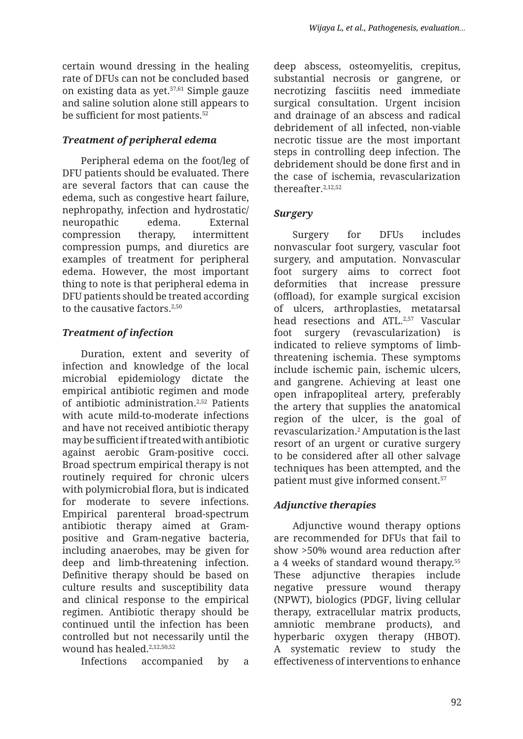certain wound dressing in the healing rate of DFUs can not be concluded based on existing data as yet.57,61 Simple gauze and saline solution alone still appears to be sufficient for most patients.<sup>52</sup>

## *Treatment of peripheral edema*

Peripheral edema on the foot/leg of DFU patients should be evaluated. There are several factors that can cause the edema, such as congestive heart failure, nephropathy, infection and hydrostatic/ neuropathic edema. External compression therapy, intermittent compression pumps, and diuretics are examples of treatment for peripheral edema. However, the most important thing to note is that peripheral edema in DFU patients should be treated according to the causative factors.<sup>2,50</sup>

# *Treatment of infection*

Duration, extent and severity of infection and knowledge of the local microbial epidemiology dictate the empirical antibiotic regimen and mode of antibiotic administration.2,52 Patients with acute mild-to-moderate infections and have not received antibiotic therapy may be sufficient if treated with antibiotic against aerobic Gram-positive cocci. Broad spectrum empirical therapy is not routinely required for chronic ulcers with polymicrobial flora, but is indicated for moderate to severe infections. Empirical parenteral broad-spectrum antibiotic therapy aimed at Grampositive and Gram-negative bacteria, including anaerobes, may be given for deep and limb-threatening infection. Definitive therapy should be based on culture results and susceptibility data and clinical response to the empirical regimen. Antibiotic therapy should be continued until the infection has been controlled but not necessarily until the wound has healed.<sup>2,12,50,52</sup>

Infections accompanied by a

deep abscess, osteomyelitis, crepitus, substantial necrosis or gangrene, or necrotizing fasciitis need immediate surgical consultation. Urgent incision and drainage of an abscess and radical debridement of all infected, non-viable necrotic tissue are the most important steps in controlling deep infection. The debridement should be done first and in the case of ischemia, revascularization thereafter.2,12,52

## *Surgery*

Surgery for DFUs includes nonvascular foot surgery, vascular foot surgery, and amputation. Nonvascular foot surgery aims to correct foot deformities that increase pressure (offload), for example surgical excision of ulcers, arthroplasties, metatarsal head resections and ATL.<sup>2,57</sup> Vascular foot surgery (revascularization) indicated to relieve symptoms of limbthreatening ischemia. These symptoms include ischemic pain, ischemic ulcers, and gangrene. Achieving at least one open infrapopliteal artery, preferably the artery that supplies the anatomical region of the ulcer, is the goal of revascularization.2 Amputation is the last resort of an urgent or curative surgery to be considered after all other salvage techniques has been attempted, and the patient must give informed consent.57

# *Adjunctive therapies*

Adjunctive wound therapy options are recommended for DFUs that fail to show >50% wound area reduction after a 4 weeks of standard wound therapy.<sup>55</sup> These adjunctive therapies include negative pressure wound therapy (NPWT), biologics (PDGF, living cellular therapy, extracellular matrix products, amniotic membrane products), and hyperbaric oxygen therapy (HBOT). A systematic review to study the effectiveness of interventions to enhance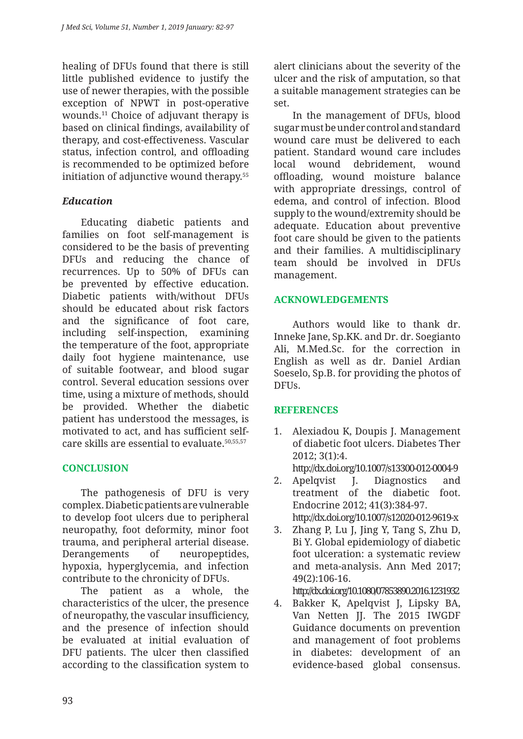healing of DFUs found that there is still little published evidence to justify the use of newer therapies, with the possible exception of NPWT in post-operative wounds.11 Choice of adjuvant therapy is based on clinical findings, availability of therapy, and cost-effectiveness. Vascular status, infection control, and offloading is recommended to be optimized before initiation of adjunctive wound therapy.<sup>55</sup>

## *Education*

Educating diabetic patients and families on foot self-management is considered to be the basis of preventing DFUs and reducing the chance of recurrences. Up to 50% of DFUs can be prevented by effective education. Diabetic patients with/without DFUs should be educated about risk factors and the significance of foot care, including self-inspection, examining the temperature of the foot, appropriate daily foot hygiene maintenance, use of suitable footwear, and blood sugar control. Several education sessions over time, using a mixture of methods, should be provided. Whether the diabetic patient has understood the messages, is motivated to act, and has sufficient selfcare skills are essential to evaluate.50,55,57

## **CONCLUSION**

The pathogenesis of DFU is very complex. Diabetic patients are vulnerable to develop foot ulcers due to peripheral neuropathy, foot deformity, minor foot trauma, and peripheral arterial disease. Derangements of neuropeptides, hypoxia, hyperglycemia, and infection contribute to the chronicity of DFUs.

The patient as a whole, the characteristics of the ulcer, the presence of neuropathy, the vascular insufficiency, and the presence of infection should be evaluated at initial evaluation of DFU patients. The ulcer then classified according to the classification system to alert clinicians about the severity of the ulcer and the risk of amputation, so that a suitable management strategies can be set.

In the management of DFUs, blood sugar must be under control and standard wound care must be delivered to each patient. Standard wound care includes local wound debridement, wound offloading, wound moisture balance with appropriate dressings, control of edema, and control of infection. Blood supply to the wound/extremity should be adequate. Education about preventive foot care should be given to the patients and their families. A multidisciplinary team should be involved in DFUs management.

### **ACKNOWLEDGEMENTS**

Authors would like to thank dr. Inneke Jane, Sp.KK. and Dr. dr. Soegianto Ali, M.Med.Sc. for the correction in English as well as dr. Daniel Ardian Soeselo, Sp.B. for providing the photos of **DFUs.** 

## **REFERENCES**

1. Alexiadou K, Doupis J. Management of diabetic foot ulcers. Diabetes Ther 2012; 3(1):4.

http://dx.doi.org/10.1007/s13300-012-0004-9

- 2. Apelqvist J. Diagnostics and treatment of the diabetic foot. Endocrine 2012; 41(3):384-97. http://dx.doi.org/10.1007/s12020-012-9619-x
- 3. Zhang P, Lu J, Jing Y, Tang S, Zhu D, Bi Y. Global epidemiology of diabetic foot ulceration: a systematic review and meta-analysis. Ann Med 2017; 49(2):106-16.

http://dx.doi.org/10.1080/07853890.2016.1231932

4. Bakker K, Apelqvist J, Lipsky BA, Van Netten JJ. The 2015 IWGDF Guidance documents on prevention and management of foot problems in diabetes: development of an evidence-based global consensus.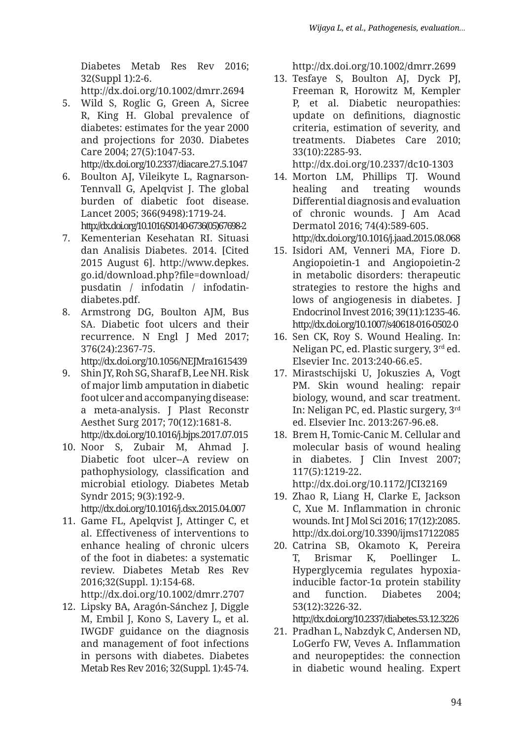Diabetes Metab Res Rev 2016; 32(Suppl 1):2-6.

http://dx.doi.org/10.1002/dmrr.2694

5. Wild S, Roglic G, Green A, Sicree R, King H. Global prevalence of diabetes: estimates for the year 2000 and projections for 2030. Diabetes Care 2004; 27(5):1047-53. http://dx.doi.org/10.2337/diacare.27.5.1047

6. Boulton AJ, Vileikyte L, Ragnarson-Tennvall G, Apelqvist J. The global burden of diabetic foot disease. Lancet 2005; 366(9498):1719-24. http://dx.doi.org/10.1016/S0140-6736(05)67698-2

- 7. Kementerian Kesehatan RI. Situasi dan Analisis Diabetes. 2014. [Cited 2015 August 6]. http://www.depkes. go.id/download.php?file=download/ pusdatin / infodatin / infodatindiabetes.pdf.
- 8. Armstrong DG, Boulton AJM, Bus SA. Diabetic foot ulcers and their recurrence. N Engl J Med 2017; 376(24):2367-75.

http://dx.doi.org/10.1056/NEJMra1615439

- 9. Shin JY, Roh SG, Sharaf B, Lee NH. Risk of major limb amputation in diabetic foot ulcer and accompanying disease: a meta-analysis. J Plast Reconstr Aesthet Surg 2017; 70(12):1681-8. http://dx.doi.org/10.1016/j.bjps.2017.07.015
- 10. Noor S, Zubair M, Ahmad J. Diabetic foot ulcer--A review on pathophysiology, classification and microbial etiology. Diabetes Metab Syndr 2015; 9(3):192-9. http://dx.doi.org/10.1016/j.dsx.2015.04.007

11. Game FL, Apelqvist J, Attinger C, et

al. Effectiveness of interventions to enhance healing of chronic ulcers of the foot in diabetes: a systematic review. Diabetes Metab Res Rev 2016;32(Suppl. 1):154-68.

http://dx.doi.org/10.1002/dmrr.2707

12. Lipsky BA, Aragón-Sánchez J, Diggle M, Embil J, Kono S, Lavery L, et al. IWGDF guidance on the diagnosis and management of foot infections in persons with diabetes. Diabetes Metab Res Rev 2016; 32(Suppl. 1):45-74. http://dx.doi.org/10.1002/dmrr.2699

13. Tesfaye S, Boulton AJ, Dyck PJ, Freeman R, Horowitz M, Kempler P, et al. Diabetic neuropathies: update on definitions, diagnostic criteria, estimation of severity, and treatments. Diabetes Care 2010; 33(10):2285-93.

http://dx.doi.org/10.2337/dc10-1303

- 14. Morton LM, Phillips TJ. Wound healing and treating wounds Differential diagnosis and evaluation of chronic wounds. J Am Acad Dermatol 2016; 74(4):589-605. http://dx.doi.org/10.1016/j.jaad.2015.08.068
- 15. Isidori AM, Venneri MA, Fiore D. Angiopoietin-1 and Angiopoietin-2 in metabolic disorders: therapeutic strategies to restore the highs and lows of angiogenesis in diabetes. J Endocrinol Invest 2016; 39(11):1235-46. http://dx.doi.org/10.1007/s40618-016-0502-0
- 16. Sen CK, Roy S. Wound Healing. In: Neligan PC, ed. Plastic surgery, 3rd ed. Elsevier Inc. 2013:240-66.e5.
- 17. Mirastschijski U, Jokuszies A, Vogt PM. Skin wound healing: repair biology, wound, and scar treatment. In: Neligan PC, ed. Plastic surgery, 3rd ed. Elsevier Inc. 2013:267-96.e8.
- 18. Brem H, Tomic-Canic M. Cellular and molecular basis of wound healing in diabetes. J Clin Invest 2007; 117(5):1219-22. http://dx.doi.org/10.1172/JCI32169
- 19. Zhao R, Liang H, Clarke E, Jackson C, Xue M. Inflammation in chronic wounds. Int J Mol Sci 2016; 17(12):2085. http://dx.doi.org/10.3390/ijms17122085
- 20. Catrina SB, Okamoto K, Pereira T, Brismar K, Poellinger L. Hyperglycemia regulates hypoxiainducible factor-1α protein stability and function. Diabetes 2004; 53(12):3226-32.

http://dx.doi.org/10.2337/diabetes.53.12.3226

21. Pradhan L, Nabzdyk C, Andersen ND, LoGerfo FW, Veves A. Inflammation and neuropeptides: the connection in diabetic wound healing. Expert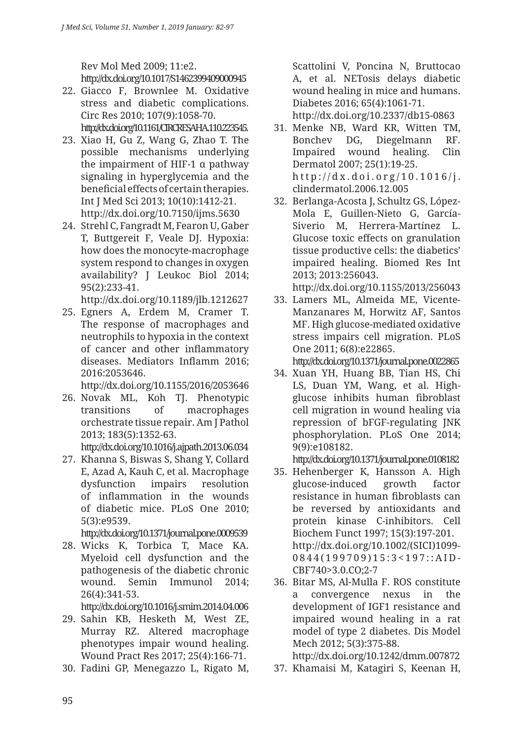Rev Mol Med 2009; 11:e2. http://dx.doi.org/10.1017/S1462399409000945

- 22. Giacco F, Brownlee M. Oxidative stress and diabetic complications. Circ Res 2010; 107(9):1058-70. http://dx.doi.org/10.1161/CIRCRESAHA.110.223545.
- 23. Xiao H, Gu Z, Wang G, Zhao T. The possible mechanisms underlying the impairment of HIF-1 α pathway signaling in hyperglycemia and the beneficial effects of certain therapies. Int J Med Sci 2013; 10(10):1412-21. http://dx.doi.org/10.7150/ijms.5630
- 24. Strehl C, Fangradt M, Fearon U, Gaber T, Buttgereit F, Veale DJ. Hypoxia: how does the monocyte-macrophage system respond to changes in oxygen availability? J Leukoc Biol 2014; 95(2):233-41.

http://dx.doi.org/10.1189/jlb.1212627

25. Egners A, Erdem M, Cramer T. The response of macrophages and neutrophils to hypoxia in the context of cancer and other inflammatory diseases. Mediators Inflamm 2016; 2016:2053646.

http://dx.doi.org/10.1155/2016/2053646

26. Novak ML, Koh TJ. Phenotypic transitions of macrophages orchestrate tissue repair. Am J Pathol 2013; 183(5):1352-63.

http://dx.doi.org/10.1016/j.ajpath.2013.06.034

27. Khanna S, Biswas S, Shang Y, Collard E, Azad A, Kauh C, et al. Macrophage dysfunction impairs resolution of inflammation in the wounds of diabetic mice. PLoS One 2010; 5(3):e9539.

http://dx.doi.org/10.1371/journal.pone.0009539

28. Wicks K, Torbica T, Mace KA. Myeloid cell dysfunction and the pathogenesis of the diabetic chronic wound. Semin Immunol 2014; 26(4):341-53.

http://dx.doi.org/10.1016/j.smim.2014.04.006

- 29. Sahin KB, Hesketh M, West ZE, Murray RZ. Altered macrophage phenotypes impair wound healing. Wound Pract Res 2017; 25(4):166-71.
- 30. Fadini GP, Menegazzo L, Rigato M,

Scattolini V, Poncina N, Bruttocao A, et al. NETosis delays diabetic wound healing in mice and humans. Diabetes 2016; 65(4):1061-71.

http://dx.doi.org/10.2337/db15-0863

- 31. Menke NB, Ward KR, Witten TM, Bonchev DG, Diegelmann RF. Impaired wound healing. Clin Dermatol 2007; 25(1):19-25. http://dx.doi.org/10.1016/j. clindermatol.2006.12.005
- 32. Berlanga-Acosta J, Schultz GS, López-Mola E, Guillen-Nieto G, García-Siverio M, Herrera-Martínez L. Glucose toxic effects on granulation tissue productive cells: the diabetics' impaired healing. Biomed Res Int 2013; 2013:256043.

http://dx.doi.org/10.1155/2013/256043

33. Lamers ML, Almeida ME, Vicente-Manzanares M, Horwitz AF, Santos MF. High glucose-mediated oxidative stress impairs cell migration. PLoS One 2011; 6(8):e22865.

http://dx.doi.org/10.1371/journal.pone.0022865

34. Xuan YH, Huang BB, Tian HS, Chi LS, Duan YM, Wang, et al. Highglucose inhibits human fibroblast cell migration in wound healing via repression of bFGF-regulating JNK phosphorylation. PLoS One 2014; 9(9):e108182.

http://dx.doi.org/10.1371/journal.pone.0108182

- 35. Hehenberger K, Hansson A. High glucose-induced growth factor resistance in human fibroblasts can be reversed by antioxidants and protein kinase C-inhibitors. Cell Biochem Funct 1997; 15(3):197-201. http://dx.doi.org/10.1002/(SICI)1099- 0844(199709)15:3<197::AID-CBF740>3.0.CO;2-7
- 36. Bitar MS, Al-Mulla F. ROS constitute a convergence nexus in the development of IGF1 resistance and impaired wound healing in a rat model of type 2 diabetes. Dis Model Mech 2012; 5(3):375-88. http://dx.doi.org/10.1242/dmm.007872
- 37. Khamaisi M, Katagiri S, Keenan H,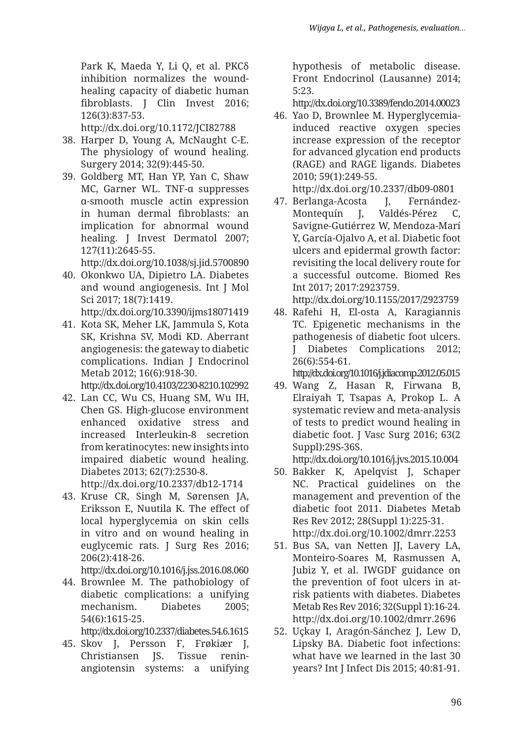Park K, Maeda Y, Li O, et al. PKC $\delta$ inhibition normalizes the woundhealing capacity of diabetic human fibroblasts. J Clin Invest 2016; 126(3):837-53.

http://dx.doi.org/10.1172/JCI82788

- 38. Harper D, Young A, McNaught C-E. The physiology of wound healing. Surgery 2014; 32(9):445-50.
- 39. Goldberg MT, Han YP, Yan C, Shaw MC, Garner WL. TNF-α suppresses α-smooth muscle actin expression in human dermal fibroblasts: an implication for abnormal wound healing. J Invest Dermatol 2007; 127(11):2645-55.

http://dx.doi.org/10.1038/sj.jid.5700890

40. Okonkwo UA, Dipietro LA. Diabetes and wound angiogenesis. Int J Mol Sci 2017; 18(7):1419.

http://dx.doi.org/10.3390/ijms18071419

41. Kota SK, Meher LK, Jammula S, Kota SK, Krishna SV, Modi KD. Aberrant angiogenesis: the gateway to diabetic complications. Indian J Endocrinol Metab 2012; 16(6):918-30.

http://dx.doi.org/10.4103/2230-8210.102992

- 42. Lan CC, Wu CS, Huang SM, Wu IH, Chen GS. High-glucose environment enhanced oxidative stress and increased Interleukin-8 secretion from keratinocytes: new insights into impaired diabetic wound healing. Diabetes 2013; 62(7):2530-8. http://dx.doi.org/10.2337/db12-1714
- 43. Kruse CR, Singh M, Sørensen JA, Eriksson E, Nuutila K. The effect of local hyperglycemia on skin cells in vitro and on wound healing in euglycemic rats. J Surg Res 2016; 206(2):418-26.

http://dx.doi.org/10.1016/j.jss.2016.08.060

44. Brownlee M. The pathobiology of diabetic complications: a unifying mechanism. Diabetes 2005; 54(6):1615-25.

http://dx.doi.org/10.2337/diabetes.54.6.1615

45. Skov J, Persson F, Frøkiær J, Christiansen JS. Tissue reninangiotensin systems: a unifying hypothesis of metabolic disease. Front Endocrinol (Lausanne) 2014; 5:23.

http://dx.doi.org/10.3389/fendo.2014.00023

46. Yao D, Brownlee M. Hyperglycemiainduced reactive oxygen species increase expression of the receptor for advanced glycation end products (RAGE) and RAGE ligands. Diabetes 2010; 59(1):249-55.

http://dx.doi.org/10.2337/db09-0801

47. Berlanga-Acosta J, Fernández-Montequín J, Valdés-Pérez C, Savigne-Gutiérrez W, Mendoza-Marí Y, García-Ojalvo A, et al. Diabetic foot ulcers and epidermal growth factor: revisiting the local delivery route for a successful outcome. Biomed Res Int 2017; 2017:2923759.

http://dx.doi.org/10.1155/2017/2923759

48. Rafehi H, El-osta A, Karagiannis TC. Epigenetic mechanisms in the pathogenesis of diabetic foot ulcers. J Diabetes Complications 2012; 26(6):554-61.

http://dx.doi.org/10.1016/j.jdiacomp.2012.05.015

49. Wang Z, Hasan R, Firwana B, Elraiyah T, Tsapas A, Prokop L. A systematic review and meta-analysis of tests to predict wound healing in diabetic foot. J Vasc Surg 2016; 63(2 Suppl):29S-36S.

http://dx.doi.org/10.1016/j.jvs.2015.10.004

- 50. Bakker K, Apelqvist J, Schaper NC. Practical guidelines on the management and prevention of the diabetic foot 2011. Diabetes Metab Res Rev 2012; 28(Suppl 1):225-31. http://dx.doi.org/10.1002/dmrr.2253
- 51. Bus SA, van Netten JJ, Lavery LA, Monteiro-Soares M, Rasmussen A, Jubiz Y, et al. IWGDF guidance on the prevention of foot ulcers in atrisk patients with diabetes. Diabetes Metab Res Rev 2016; 32(Suppl 1):16-24. http://dx.doi.org/10.1002/dmrr.2696
- 52. Uçkay I, Aragón-Sánchez J, Lew D, Lipsky BA. Diabetic foot infections: what have we learned in the last 30 years? Int J Infect Dis 2015; 40:81-91.